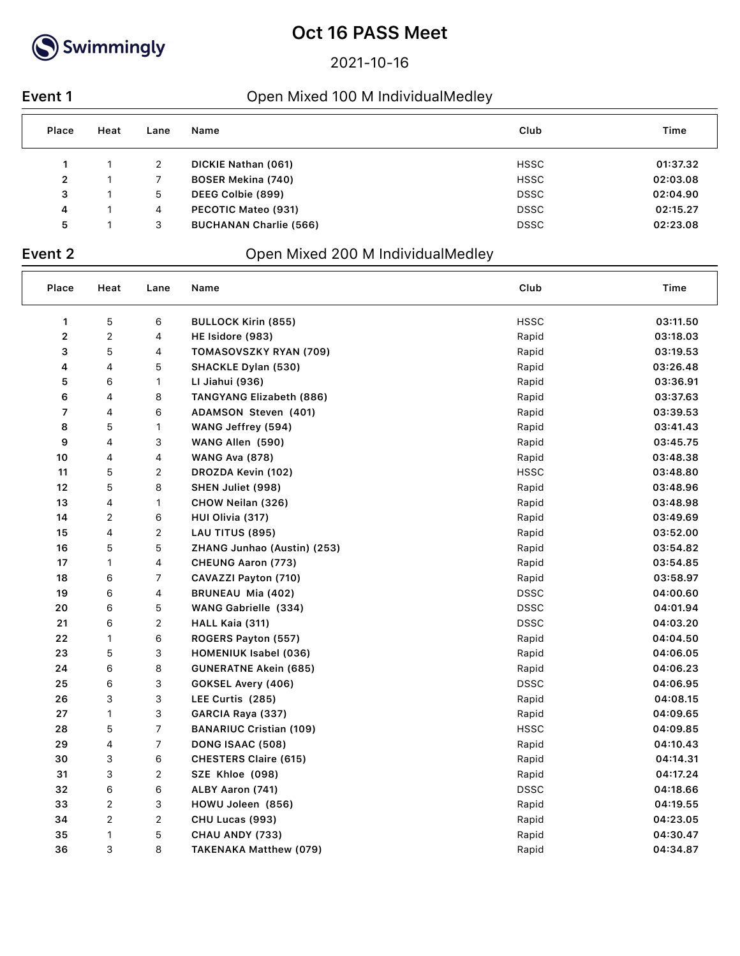

2021-10-16

### **Event 1** Open Mixed 100 M IndividualMedley

| Place          | Heat | Lane | Name                          | Club        | Time     |
|----------------|------|------|-------------------------------|-------------|----------|
|                |      | 2    | DICKIE Nathan (061)           | <b>HSSC</b> | 01:37.32 |
| $\overline{2}$ |      |      | <b>BOSER Mekina (740)</b>     | <b>HSSC</b> | 02:03.08 |
| 3              |      | 5    | DEEG Colbie (899)             | <b>DSSC</b> | 02:04.90 |
| 4              |      | 4    | PECOTIC Mateo (931)           | <b>DSSC</b> | 02:15.27 |
| 5              |      | 3    | <b>BUCHANAN Charlie (566)</b> | <b>DSSC</b> | 02:23.08 |

## **Event 2** Open Mixed 200 M IndividualMedley

| Place       | Heat                    | Lane           | Name                           | Club        | Time     |
|-------------|-------------------------|----------------|--------------------------------|-------------|----------|
| 1           | 5                       | 6              | <b>BULLOCK Kirin (855)</b>     | <b>HSSC</b> | 03:11.50 |
| $\mathbf 2$ | $\overline{\mathbf{c}}$ | 4              | HE Isidore (983)               | Rapid       | 03:18.03 |
| 3           | 5                       | 4              | TOMASOVSZKY RYAN (709)         | Rapid       | 03:19.53 |
| 4           | 4                       | 5              | <b>SHACKLE Dylan (530)</b>     | Rapid       | 03:26.48 |
| 5           | 6                       | 1              | LI Jiahui (936)                | Rapid       | 03:36.91 |
| 6           | 4                       | 8              | TANGYANG Elizabeth (886)       | Rapid       | 03:37.63 |
| 7           | 4                       | 6              | ADAMSON Steven (401)           | Rapid       | 03:39.53 |
| 8           | 5                       | 1              | WANG Jeffrey (594)             | Rapid       | 03:41.43 |
| 9           | 4                       | 3              | WANG Allen (590)               | Rapid       | 03:45.75 |
| 10          | 4                       | 4              | <b>WANG Ava (878)</b>          | Rapid       | 03:48.38 |
| 11          | 5                       | $\overline{c}$ | DROZDA Kevin (102)             | <b>HSSC</b> | 03:48.80 |
| 12          | 5                       | 8              | SHEN Juliet (998)              | Rapid       | 03:48.96 |
| 13          | 4                       | 1              | CHOW Neilan (326)              | Rapid       | 03:48.98 |
| 14          | 2                       | 6              | HUI Olivia (317)               | Rapid       | 03:49.69 |
| 15          | 4                       | $\overline{c}$ | LAU TITUS (895)                | Rapid       | 03:52.00 |
| 16          | 5                       | 5              | ZHANG Junhao (Austin) (253)    | Rapid       | 03:54.82 |
| 17          | $\mathbf{1}$            | 4              | <b>CHEUNG Aaron (773)</b>      | Rapid       | 03:54.85 |
| 18          | 6                       | 7              | CAVAZZI Payton (710)           | Rapid       | 03:58.97 |
| 19          | 6                       | 4              | BRUNEAU Mia (402)              | <b>DSSC</b> | 04:00.60 |
| 20          | 6                       | 5              | WANG Gabrielle (334)           | <b>DSSC</b> | 04:01.94 |
| 21          | 6                       | $\overline{2}$ | HALL Kaia (311)                | <b>DSSC</b> | 04:03.20 |
| 22          | 1                       | 6              | ROGERS Payton (557)            | Rapid       | 04:04.50 |
| 23          | 5                       | 3              | <b>HOMENIUK Isabel (036)</b>   | Rapid       | 04:06.05 |
| 24          | 6                       | 8              | <b>GUNERATNE Akein (685)</b>   | Rapid       | 04:06.23 |
| 25          | 6                       | 3              | GOKSEL Avery (406)             | <b>DSSC</b> | 04:06.95 |
| 26          | 3                       | 3              | LEE Curtis (285)               | Rapid       | 04:08.15 |
| 27          | $\mathbf{1}$            | 3              | GARCIA Raya (337)              | Rapid       | 04:09.65 |
| 28          | 5                       | 7              | <b>BANARIUC Cristian (109)</b> | <b>HSSC</b> | 04:09.85 |
| 29          | 4                       | 7              | DONG ISAAC (508)               | Rapid       | 04:10.43 |
| 30          | 3                       | 6              | <b>CHESTERS Claire (615)</b>   | Rapid       | 04:14.31 |
| 31          | 3                       | $\overline{2}$ | SZE Khloe (098)                | Rapid       | 04:17.24 |
| 32          | 6                       | 6              | ALBY Aaron (741)               | <b>DSSC</b> | 04:18.66 |
| 33          | $\sqrt{2}$              | 3              | HOWU Joleen (856)              | Rapid       | 04:19.55 |
| 34          | $\overline{\mathbf{c}}$ | $\overline{c}$ | CHU Lucas (993)                | Rapid       | 04:23.05 |
| 35          | 1                       | 5              | CHAU ANDY (733)                | Rapid       | 04:30.47 |
| 36          | 3                       | 8              | <b>TAKENAKA Matthew (079)</b>  | Rapid       | 04:34.87 |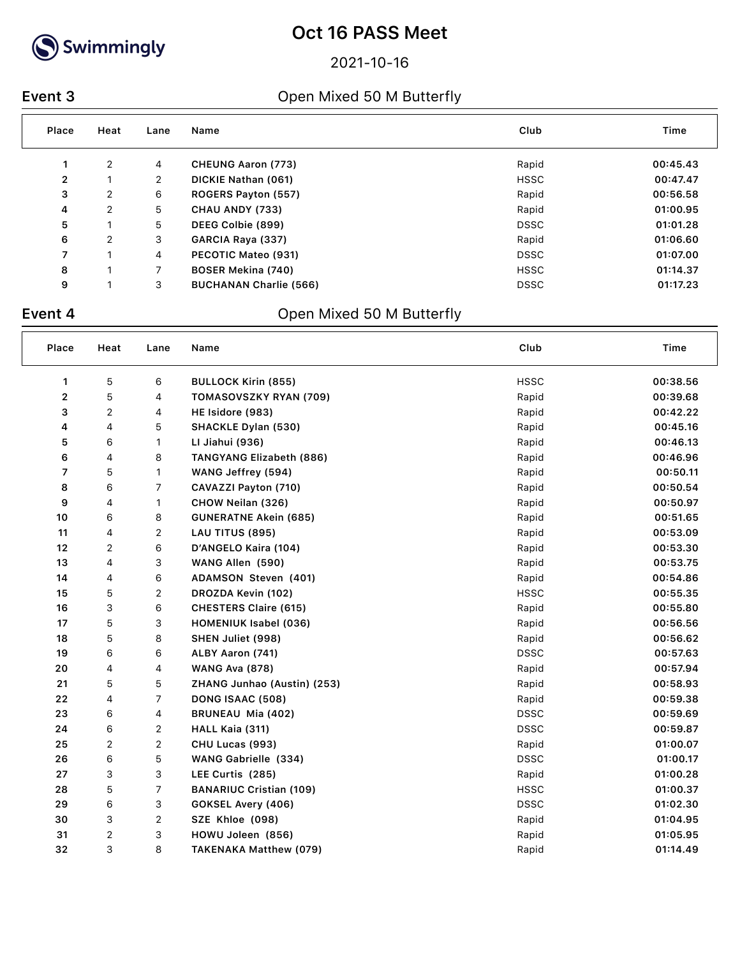

2021-10-16

### **Event 3** Open Mixed 50 M Butterfly

| Place          | Heat | Lane           | Name                          | Club        | Time     |
|----------------|------|----------------|-------------------------------|-------------|----------|
|                | 2    | 4              | <b>CHEUNG Aaron (773)</b>     | Rapid       | 00:45.43 |
| $\overline{2}$ |      | $\overline{2}$ | DICKIE Nathan (061)           | <b>HSSC</b> | 00:47.47 |
| 3              | 2    | 6              | ROGERS Payton (557)           | Rapid       | 00:56.58 |
| 4              | 2    | 5              | CHAU ANDY (733)               | Rapid       | 01:00.95 |
| 5              |      | 5              | DEEG Colbie (899)             | <b>DSSC</b> | 01:01.28 |
| 6              | 2    | 3              | GARCIA Raya (337)             | Rapid       | 01:06.60 |
| 7              |      | 4              | PECOTIC Mateo (931)           | <b>DSSC</b> | 01:07.00 |
| 8              |      |                | <b>BOSER Mekina (740)</b>     | <b>HSSC</b> | 01:14.37 |
| 9              |      | 3              | <b>BUCHANAN Charlie (566)</b> | <b>DSSC</b> | 01:17.23 |

## **Event 4** Open Mixed 50 M Butterfly

| Place          | Heat | Lane                    | Name                            | Club        | Time     |
|----------------|------|-------------------------|---------------------------------|-------------|----------|
| 1              | 5    | 6                       | <b>BULLOCK Kirin (855)</b>      | <b>HSSC</b> | 00:38.56 |
| $\overline{2}$ | 5    | 4                       | TOMASOVSZKY RYAN (709)          | Rapid       | 00:39.68 |
| 3              | 2    | 4                       | HE Isidore (983)                | Rapid       | 00:42.22 |
| 4              | 4    | 5                       | <b>SHACKLE Dylan (530)</b>      | Rapid       | 00:45.16 |
| 5              | 6    | 1                       | LI Jiahui (936)                 | Rapid       | 00:46.13 |
| 6              | 4    | 8                       | <b>TANGYANG Elizabeth (886)</b> | Rapid       | 00:46.96 |
| 7              | 5    | 1                       | WANG Jeffrey (594)              | Rapid       | 00:50.11 |
| 8              | 6    | 7                       | CAVAZZI Payton (710)            | Rapid       | 00:50.54 |
| 9              | 4    | 1                       | CHOW Neilan (326)               | Rapid       | 00:50.97 |
| 10             | 6    | 8                       | <b>GUNERATNE Akein (685)</b>    | Rapid       | 00:51.65 |
| 11             | 4    | $\overline{c}$          | LAU TITUS (895)                 | Rapid       | 00:53.09 |
| 12             | 2    | 6                       | D'ANGELO Kaira (104)            | Rapid       | 00:53.30 |
| 13             | 4    | 3                       | WANG Allen (590)                | Rapid       | 00:53.75 |
| 14             | 4    | 6                       | ADAMSON Steven (401)            | Rapid       | 00:54.86 |
| 15             | 5    | $\overline{\mathbf{c}}$ | DROZDA Kevin (102)              | <b>HSSC</b> | 00:55.35 |
| 16             | 3    | 6                       | <b>CHESTERS Claire (615)</b>    | Rapid       | 00:55.80 |
| 17             | 5    | 3                       | <b>HOMENIUK Isabel (036)</b>    | Rapid       | 00:56.56 |
| 18             | 5    | 8                       | SHEN Juliet (998)               | Rapid       | 00:56.62 |
| 19             | 6    | 6                       | ALBY Aaron (741)                | <b>DSSC</b> | 00:57.63 |
| 20             | 4    | 4                       | <b>WANG Ava (878)</b>           | Rapid       | 00:57.94 |
| 21             | 5    | 5                       | ZHANG Junhao (Austin) (253)     | Rapid       | 00:58.93 |
| 22             | 4    | 7                       | DONG ISAAC (508)                | Rapid       | 00:59.38 |
| 23             | 6    | 4                       | BRUNEAU Mia (402)               | <b>DSSC</b> | 00:59.69 |
| 24             | 6    | $\overline{c}$          | HALL Kaia (311)                 | <b>DSSC</b> | 00:59.87 |
| 25             | 2    | $\boldsymbol{2}$        | CHU Lucas (993)                 | Rapid       | 01:00.07 |
| 26             | 6    | 5                       | WANG Gabrielle (334)            | <b>DSSC</b> | 01:00.17 |
| 27             | 3    | 3                       | LEE Curtis (285)                | Rapid       | 01:00.28 |
| 28             | 5    | 7                       | <b>BANARIUC Cristian (109)</b>  | <b>HSSC</b> | 01:00.37 |
| 29             | 6    | 3                       | GOKSEL Avery (406)              | <b>DSSC</b> | 01:02.30 |
| 30             | 3    | $\overline{c}$          | SZE Khloe (098)                 | Rapid       | 01:04.95 |
| 31             | 2    | 3                       | HOWU Joleen (856)               | Rapid       | 01:05.95 |
| 32             | 3    | 8                       | <b>TAKENAKA Matthew (079)</b>   | Rapid       | 01:14.49 |
|                |      |                         |                                 |             |          |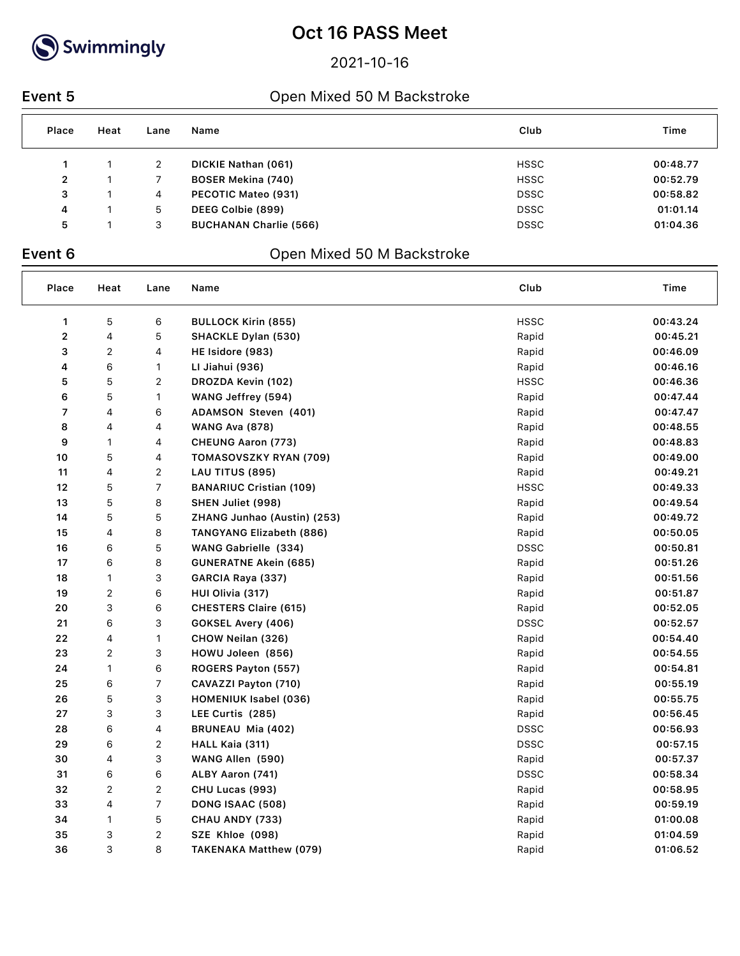

2021-10-16

### **Event 5** Open Mixed 50 M Backstroke

| Place        | Heat | Lane | Name                          | Club        | Time     |
|--------------|------|------|-------------------------------|-------------|----------|
|              |      | 2    | DICKIE Nathan (061)           | <b>HSSC</b> | 00:48.77 |
| $\mathbf{2}$ |      |      | <b>BOSER Mekina (740)</b>     | <b>HSSC</b> | 00:52.79 |
| 3            |      | 4    | PECOTIC Mateo (931)           | <b>DSSC</b> | 00:58.82 |
| 4            |      | 5.   | DEEG Colbie (899)             | <b>DSSC</b> | 01:01.14 |
| 5            |      | 3    | <b>BUCHANAN Charlie (566)</b> | <b>DSSC</b> | 01:04.36 |

## **Event 6** Open Mixed 50 M Backstroke

| Place | Heat                    | Lane           | Name                           | Club        | Time     |
|-------|-------------------------|----------------|--------------------------------|-------------|----------|
| 1     | 5                       | 6              | <b>BULLOCK Kirin (855)</b>     | <b>HSSC</b> | 00:43.24 |
| 2     | 4                       | 5              | <b>SHACKLE Dylan (530)</b>     | Rapid       | 00:45.21 |
| 3     | 2                       | 4              | HE Isidore (983)               | Rapid       | 00:46.09 |
| 4     | 6                       | 1              | LI Jiahui (936)                | Rapid       | 00:46.16 |
| 5     | 5                       | $\sqrt{2}$     | DROZDA Kevin (102)             | <b>HSSC</b> | 00:46.36 |
| 6     | 5                       | $\mathbf{1}$   | WANG Jeffrey (594)             | Rapid       | 00:47.44 |
| 7     | 4                       | 6              | ADAMSON Steven (401)           | Rapid       | 00:47.47 |
| 8     | 4                       | 4              | <b>WANG Ava (878)</b>          | Rapid       | 00:48.55 |
| 9     | 1                       | 4              | <b>CHEUNG Aaron (773)</b>      | Rapid       | 00:48.83 |
| 10    | 5                       | 4              | TOMASOVSZKY RYAN (709)         | Rapid       | 00:49.00 |
| 11    | 4                       | $\overline{2}$ | LAU TITUS (895)                | Rapid       | 00:49.21 |
| 12    | 5                       | $\overline{7}$ | <b>BANARIUC Cristian (109)</b> | <b>HSSC</b> | 00:49.33 |
| 13    | 5                       | 8              | SHEN Juliet (998)              | Rapid       | 00:49.54 |
| 14    | 5                       | 5              | ZHANG Junhao (Austin) (253)    | Rapid       | 00:49.72 |
| 15    | 4                       | 8              | TANGYANG Elizabeth (886)       | Rapid       | 00:50.05 |
| 16    | 6                       | 5              | WANG Gabrielle (334)           | <b>DSSC</b> | 00:50.81 |
| 17    | 6                       | 8              | GUNERATNE Akein (685)          | Rapid       | 00:51.26 |
| 18    | 1                       | 3              | GARCIA Raya (337)              | Rapid       | 00:51.56 |
| 19    | 2                       | 6              | HUI Olivia (317)               | Rapid       | 00:51.87 |
| 20    | 3                       | 6              | <b>CHESTERS Claire (615)</b>   | Rapid       | 00:52.05 |
| 21    | 6                       | 3              | GOKSEL Avery (406)             | <b>DSSC</b> | 00:52.57 |
| 22    | 4                       | 1              | CHOW Neilan (326)              | Rapid       | 00:54.40 |
| 23    | $\overline{\mathbf{c}}$ | 3              | HOWU Joleen (856)              | Rapid       | 00:54.55 |
| 24    | 1                       | 6              | ROGERS Payton (557)            | Rapid       | 00:54.81 |
| 25    | 6                       | $\overline{7}$ | CAVAZZI Payton (710)           | Rapid       | 00:55.19 |
| 26    | 5                       | 3              | <b>HOMENIUK Isabel (036)</b>   | Rapid       | 00:55.75 |
| 27    | 3                       | 3              | LEE Curtis (285)               | Rapid       | 00:56.45 |
| 28    | 6                       | 4              | BRUNEAU Mia (402)              | <b>DSSC</b> | 00:56.93 |
| 29    | 6                       | $\sqrt{2}$     | HALL Kaia (311)                | <b>DSSC</b> | 00:57.15 |
| 30    | 4                       | 3              | WANG Allen (590)               | Rapid       | 00:57.37 |
| 31    | 6                       | 6              | ALBY Aaron (741)               | <b>DSSC</b> | 00:58.34 |
| 32    | 2                       | $\overline{2}$ | CHU Lucas (993)                | Rapid       | 00:58.95 |
| 33    | 4                       | 7              | DONG ISAAC (508)               | Rapid       | 00:59.19 |
| 34    | 1                       | $\mathbf 5$    | CHAU ANDY (733)                | Rapid       | 01:00.08 |
| 35    | 3                       | $\overline{2}$ | SZE Khloe (098)                | Rapid       | 01:04.59 |
| 36    | 3                       | 8              | TAKENAKA Matthew (079)         | Rapid       | 01:06.52 |